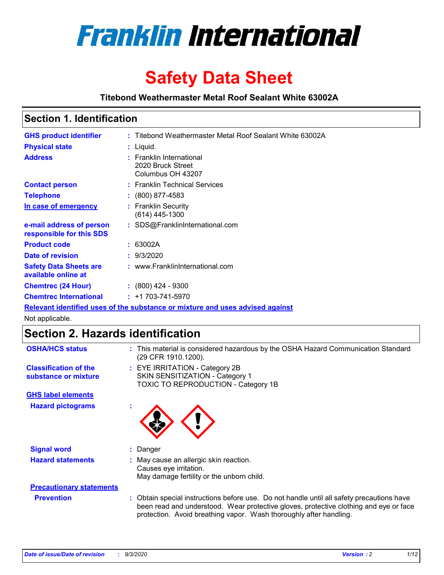

# **Safety Data Sheet**

**Titebond Weathermaster Metal Roof Sealant White 63002A**

### **Section 1. Identification**

| <b>GHS product identifier</b>                                                 |  | : Titebond Weathermaster Metal Roof Sealant White 63002A           |  |
|-------------------------------------------------------------------------------|--|--------------------------------------------------------------------|--|
| <b>Physical state</b>                                                         |  | : Liquid.                                                          |  |
| <b>Address</b>                                                                |  | : Franklin International<br>2020 Bruck Street<br>Columbus OH 43207 |  |
| <b>Contact person</b>                                                         |  | : Franklin Technical Services                                      |  |
| <b>Telephone</b>                                                              |  | $: (800) 877 - 4583$                                               |  |
| In case of emergency                                                          |  | : Franklin Security<br>(614) 445-1300                              |  |
| e-mail address of person<br>responsible for this SDS                          |  | : SDS@FranklinInternational.com                                    |  |
| <b>Product code</b>                                                           |  | : 63002A                                                           |  |
| Date of revision                                                              |  | : 9/3/2020                                                         |  |
| <b>Safety Data Sheets are</b><br>available online at                          |  | : www.FranklinInternational.com                                    |  |
| <b>Chemtrec (24 Hour)</b>                                                     |  | $\div$ (800) 424 - 9300                                            |  |
| <b>Chemtrec International</b>                                                 |  | $: +1703 - 741 - 5970$                                             |  |
| Relevant identified uses of the substance or mixture and uses advised against |  |                                                                    |  |

Not applicable.

# **Section 2. Hazards identification**

| <b>OSHA/HCS status</b>                               | : This material is considered hazardous by the OSHA Hazard Communication Standard<br>(29 CFR 1910.1200).                                                                                                                                                 |  |  |  |
|------------------------------------------------------|----------------------------------------------------------------------------------------------------------------------------------------------------------------------------------------------------------------------------------------------------------|--|--|--|
| <b>Classification of the</b><br>substance or mixture | : EYE IRRITATION - Category 2B<br>SKIN SENSITIZATION - Category 1<br>TOXIC TO REPRODUCTION - Category 1B                                                                                                                                                 |  |  |  |
| <b>GHS label elements</b>                            |                                                                                                                                                                                                                                                          |  |  |  |
| <b>Hazard pictograms</b>                             |                                                                                                                                                                                                                                                          |  |  |  |
| <b>Signal word</b>                                   | : Danger                                                                                                                                                                                                                                                 |  |  |  |
| <b>Hazard statements</b>                             | : May cause an allergic skin reaction.<br>Causes eye irritation.<br>May damage fertility or the unborn child.                                                                                                                                            |  |  |  |
| <b>Precautionary statements</b>                      |                                                                                                                                                                                                                                                          |  |  |  |
| <b>Prevention</b>                                    | : Obtain special instructions before use. Do not handle until all safety precautions have<br>been read and understood. Wear protective gloves, protective clothing and eye or face<br>protection. Avoid breathing vapor. Wash thoroughly after handling. |  |  |  |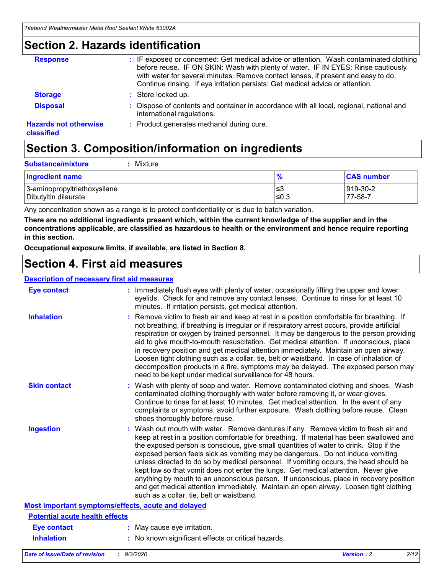### **Section 2. Hazards identification**

| <b>Response</b>                            | : IF exposed or concerned: Get medical advice or attention. Wash contaminated clothing<br>before reuse. IF ON SKIN: Wash with plenty of water. IF IN EYES: Rinse cautiously<br>with water for several minutes. Remove contact lenses, if present and easy to do.<br>Continue rinsing. If eye irritation persists: Get medical advice or attention. |
|--------------------------------------------|----------------------------------------------------------------------------------------------------------------------------------------------------------------------------------------------------------------------------------------------------------------------------------------------------------------------------------------------------|
| <b>Storage</b>                             | : Store locked up.                                                                                                                                                                                                                                                                                                                                 |
| <b>Disposal</b>                            | : Dispose of contents and container in accordance with all local, regional, national and<br>international regulations.                                                                                                                                                                                                                             |
| <b>Hazards not otherwise</b><br>classified | : Product generates methanol during cure.                                                                                                                                                                                                                                                                                                          |

# **Section 3. Composition/information on ingredients**

| <b>Substance/mixture</b> |  | : Mixture |
|--------------------------|--|-----------|
|--------------------------|--|-----------|

| <b>Ingredient name</b>       | $\frac{9}{6}$ | <b>CAS number</b> |
|------------------------------|---------------|-------------------|
| 3-aminopropyltriethoxysilane | ≤3            | 919-30-2          |
| Dibutyltin dilaurate         | ∣≤0.3         | 77-58-7           |

Any concentration shown as a range is to protect confidentiality or is due to batch variation.

**There are no additional ingredients present which, within the current knowledge of the supplier and in the concentrations applicable, are classified as hazardous to health or the environment and hence require reporting in this section.**

**Occupational exposure limits, if available, are listed in Section 8.**

### **Section 4. First aid measures**

| <b>Description of necessary first aid measures</b> |                                                                                                                                                                                                                                                                                                                                                                                                                                                                                                                                                                                                                                                                                                                                                                           |
|----------------------------------------------------|---------------------------------------------------------------------------------------------------------------------------------------------------------------------------------------------------------------------------------------------------------------------------------------------------------------------------------------------------------------------------------------------------------------------------------------------------------------------------------------------------------------------------------------------------------------------------------------------------------------------------------------------------------------------------------------------------------------------------------------------------------------------------|
| <b>Eye contact</b>                                 | : Immediately flush eyes with plenty of water, occasionally lifting the upper and lower<br>eyelids. Check for and remove any contact lenses. Continue to rinse for at least 10<br>minutes. If irritation persists, get medical attention.                                                                                                                                                                                                                                                                                                                                                                                                                                                                                                                                 |
| <b>Inhalation</b>                                  | : Remove victim to fresh air and keep at rest in a position comfortable for breathing. If<br>not breathing, if breathing is irregular or if respiratory arrest occurs, provide artificial<br>respiration or oxygen by trained personnel. It may be dangerous to the person providing<br>aid to give mouth-to-mouth resuscitation. Get medical attention. If unconscious, place<br>in recovery position and get medical attention immediately. Maintain an open airway.<br>Loosen tight clothing such as a collar, tie, belt or waistband. In case of inhalation of<br>decomposition products in a fire, symptoms may be delayed. The exposed person may<br>need to be kept under medical surveillance for 48 hours.                                                       |
| <b>Skin contact</b>                                | : Wash with plenty of soap and water. Remove contaminated clothing and shoes. Wash<br>contaminated clothing thoroughly with water before removing it, or wear gloves.<br>Continue to rinse for at least 10 minutes. Get medical attention. In the event of any<br>complaints or symptoms, avoid further exposure. Wash clothing before reuse. Clean<br>shoes thoroughly before reuse.                                                                                                                                                                                                                                                                                                                                                                                     |
| <b>Ingestion</b>                                   | : Wash out mouth with water. Remove dentures if any. Remove victim to fresh air and<br>keep at rest in a position comfortable for breathing. If material has been swallowed and<br>the exposed person is conscious, give small quantities of water to drink. Stop if the<br>exposed person feels sick as vomiting may be dangerous. Do not induce vomiting<br>unless directed to do so by medical personnel. If vomiting occurs, the head should be<br>kept low so that vomit does not enter the lungs. Get medical attention. Never give<br>anything by mouth to an unconscious person. If unconscious, place in recovery position<br>and get medical attention immediately. Maintain an open airway. Loosen tight clothing<br>such as a collar, tie, belt or waistband. |
| Most important symptoms/effects, acute and delayed |                                                                                                                                                                                                                                                                                                                                                                                                                                                                                                                                                                                                                                                                                                                                                                           |
| <b>Potential acute health effects</b>              |                                                                                                                                                                                                                                                                                                                                                                                                                                                                                                                                                                                                                                                                                                                                                                           |
| Eye contact                                        | : May cause eye irritation.                                                                                                                                                                                                                                                                                                                                                                                                                                                                                                                                                                                                                                                                                                                                               |
| <b>Inhalation</b>                                  | : No known significant effects or critical hazards.                                                                                                                                                                                                                                                                                                                                                                                                                                                                                                                                                                                                                                                                                                                       |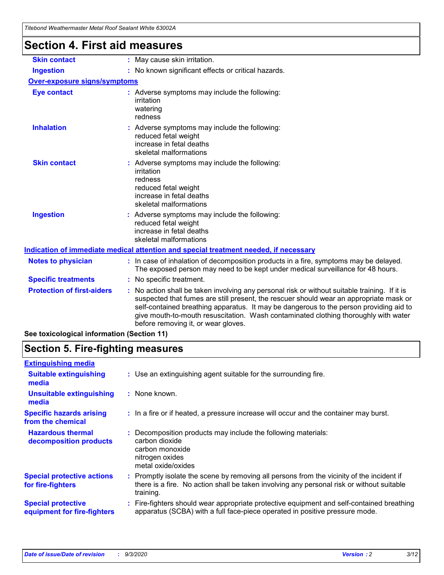| ' Iltilli VVtaliitiinasiti Witlai NUUI Otalahi VVIIIlt UJUUZA |                                                                                                                                                                                                                                                                                                                                                                                                                 |  |  |  |
|---------------------------------------------------------------|-----------------------------------------------------------------------------------------------------------------------------------------------------------------------------------------------------------------------------------------------------------------------------------------------------------------------------------------------------------------------------------------------------------------|--|--|--|
| <b>Section 4. First aid measures</b>                          |                                                                                                                                                                                                                                                                                                                                                                                                                 |  |  |  |
| <b>Skin contact</b>                                           | : May cause skin irritation.                                                                                                                                                                                                                                                                                                                                                                                    |  |  |  |
| <b>Ingestion</b>                                              | : No known significant effects or critical hazards.                                                                                                                                                                                                                                                                                                                                                             |  |  |  |
| <b>Over-exposure signs/symptoms</b>                           |                                                                                                                                                                                                                                                                                                                                                                                                                 |  |  |  |
| <b>Eye contact</b>                                            | : Adverse symptoms may include the following:<br>irritation<br>watering<br>redness                                                                                                                                                                                                                                                                                                                              |  |  |  |
| <b>Inhalation</b>                                             | : Adverse symptoms may include the following:<br>reduced fetal weight<br>increase in fetal deaths<br>skeletal malformations                                                                                                                                                                                                                                                                                     |  |  |  |
| <b>Skin contact</b>                                           | : Adverse symptoms may include the following:<br>irritation<br>redness<br>reduced fetal weight<br>increase in fetal deaths<br>skeletal malformations                                                                                                                                                                                                                                                            |  |  |  |
| <b>Ingestion</b>                                              | Adverse symptoms may include the following:<br>reduced fetal weight<br>increase in fetal deaths<br>skeletal malformations                                                                                                                                                                                                                                                                                       |  |  |  |
|                                                               | Indication of immediate medical attention and special treatment needed, if necessary                                                                                                                                                                                                                                                                                                                            |  |  |  |
| <b>Notes to physician</b>                                     | : In case of inhalation of decomposition products in a fire, symptoms may be delayed.<br>The exposed person may need to be kept under medical surveillance for 48 hours.                                                                                                                                                                                                                                        |  |  |  |
| <b>Specific treatments</b>                                    | : No specific treatment.                                                                                                                                                                                                                                                                                                                                                                                        |  |  |  |
| <b>Protection of first-aiders</b>                             | : No action shall be taken involving any personal risk or without suitable training. If it is<br>suspected that fumes are still present, the rescuer should wear an appropriate mask or<br>self-contained breathing apparatus. It may be dangerous to the person providing aid to<br>give mouth-to-mouth resuscitation. Wash contaminated clothing thoroughly with water<br>before removing it, or wear gloves. |  |  |  |
| See toxicological information (Section 11)                    |                                                                                                                                                                                                                                                                                                                                                                                                                 |  |  |  |

# **Section 5. Fire-fighting measures**

| <b>Extinguishing media</b>                               |                                                                                                                                                                                                     |
|----------------------------------------------------------|-----------------------------------------------------------------------------------------------------------------------------------------------------------------------------------------------------|
| <b>Suitable extinguishing</b><br>media                   | : Use an extinguishing agent suitable for the surrounding fire.                                                                                                                                     |
| <b>Unsuitable extinguishing</b><br>media                 | : None known.                                                                                                                                                                                       |
| <b>Specific hazards arising</b><br>from the chemical     | : In a fire or if heated, a pressure increase will occur and the container may burst.                                                                                                               |
| <b>Hazardous thermal</b><br>decomposition products       | : Decomposition products may include the following materials:<br>carbon dioxide<br>carbon monoxide<br>nitrogen oxides<br>metal oxide/oxides                                                         |
| <b>Special protective actions</b><br>for fire-fighters   | : Promptly isolate the scene by removing all persons from the vicinity of the incident if<br>there is a fire. No action shall be taken involving any personal risk or without suitable<br>training. |
| <b>Special protective</b><br>equipment for fire-fighters | : Fire-fighters should wear appropriate protective equipment and self-contained breathing<br>apparatus (SCBA) with a full face-piece operated in positive pressure mode.                            |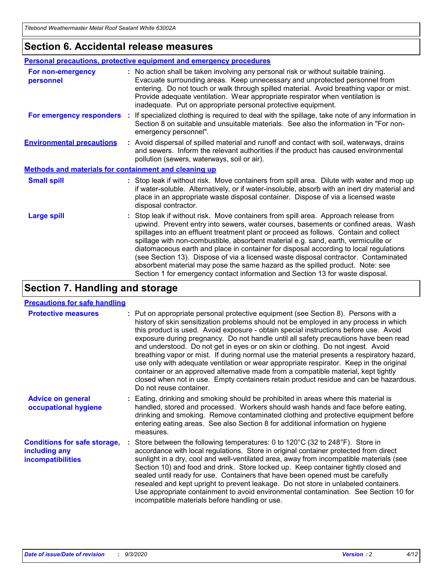### **Section 6. Accidental release measures**

|                                                              | <b>Personal precautions, protective equipment and emergency procedures</b>                                                                                                                                                                                                                                                                                                                                                                                                                                                                                                                                                                                                                                   |  |  |  |  |
|--------------------------------------------------------------|--------------------------------------------------------------------------------------------------------------------------------------------------------------------------------------------------------------------------------------------------------------------------------------------------------------------------------------------------------------------------------------------------------------------------------------------------------------------------------------------------------------------------------------------------------------------------------------------------------------------------------------------------------------------------------------------------------------|--|--|--|--|
| For non-emergency<br>personnel                               | : No action shall be taken involving any personal risk or without suitable training.<br>Evacuate surrounding areas. Keep unnecessary and unprotected personnel from<br>entering. Do not touch or walk through spilled material. Avoid breathing vapor or mist.<br>Provide adequate ventilation. Wear appropriate respirator when ventilation is<br>inadequate. Put on appropriate personal protective equipment.                                                                                                                                                                                                                                                                                             |  |  |  |  |
| For emergency responders                                     | : If specialized clothing is required to deal with the spillage, take note of any information in<br>Section 8 on suitable and unsuitable materials. See also the information in "For non-<br>emergency personnel".                                                                                                                                                                                                                                                                                                                                                                                                                                                                                           |  |  |  |  |
| <b>Environmental precautions</b>                             | : Avoid dispersal of spilled material and runoff and contact with soil, waterways, drains<br>and sewers. Inform the relevant authorities if the product has caused environmental<br>pollution (sewers, waterways, soil or air).                                                                                                                                                                                                                                                                                                                                                                                                                                                                              |  |  |  |  |
| <b>Methods and materials for containment and cleaning up</b> |                                                                                                                                                                                                                                                                                                                                                                                                                                                                                                                                                                                                                                                                                                              |  |  |  |  |
| <b>Small spill</b>                                           | : Stop leak if without risk. Move containers from spill area. Dilute with water and mop up<br>if water-soluble. Alternatively, or if water-insoluble, absorb with an inert dry material and<br>place in an appropriate waste disposal container. Dispose of via a licensed waste<br>disposal contractor.                                                                                                                                                                                                                                                                                                                                                                                                     |  |  |  |  |
| <b>Large spill</b>                                           | : Stop leak if without risk. Move containers from spill area. Approach release from<br>upwind. Prevent entry into sewers, water courses, basements or confined areas. Wash<br>spillages into an effluent treatment plant or proceed as follows. Contain and collect<br>spillage with non-combustible, absorbent material e.g. sand, earth, vermiculite or<br>diatomaceous earth and place in container for disposal according to local regulations<br>(see Section 13). Dispose of via a licensed waste disposal contractor. Contaminated<br>absorbent material may pose the same hazard as the spilled product. Note: see<br>Section 1 for emergency contact information and Section 13 for waste disposal. |  |  |  |  |

# **Section 7. Handling and storage**

#### **Precautions for safe handling**

| <b>Protective measures</b>                                                       | : Put on appropriate personal protective equipment (see Section 8). Persons with a<br>history of skin sensitization problems should not be employed in any process in which<br>this product is used. Avoid exposure - obtain special instructions before use. Avoid<br>exposure during pregnancy. Do not handle until all safety precautions have been read<br>and understood. Do not get in eyes or on skin or clothing. Do not ingest. Avoid<br>breathing vapor or mist. If during normal use the material presents a respiratory hazard,<br>use only with adequate ventilation or wear appropriate respirator. Keep in the original<br>container or an approved alternative made from a compatible material, kept tightly<br>closed when not in use. Empty containers retain product residue and can be hazardous.<br>Do not reuse container. |
|----------------------------------------------------------------------------------|--------------------------------------------------------------------------------------------------------------------------------------------------------------------------------------------------------------------------------------------------------------------------------------------------------------------------------------------------------------------------------------------------------------------------------------------------------------------------------------------------------------------------------------------------------------------------------------------------------------------------------------------------------------------------------------------------------------------------------------------------------------------------------------------------------------------------------------------------|
| <b>Advice on general</b><br>occupational hygiene                                 | : Eating, drinking and smoking should be prohibited in areas where this material is<br>handled, stored and processed. Workers should wash hands and face before eating,<br>drinking and smoking. Remove contaminated clothing and protective equipment before<br>entering eating areas. See also Section 8 for additional information on hygiene<br>measures.                                                                                                                                                                                                                                                                                                                                                                                                                                                                                    |
| <b>Conditions for safe storage,</b><br>including any<br><b>incompatibilities</b> | Store between the following temperatures: 0 to 120°C (32 to 248°F). Store in<br>accordance with local regulations. Store in original container protected from direct<br>sunlight in a dry, cool and well-ventilated area, away from incompatible materials (see<br>Section 10) and food and drink. Store locked up. Keep container tightly closed and<br>sealed until ready for use. Containers that have been opened must be carefully<br>resealed and kept upright to prevent leakage. Do not store in unlabeled containers.<br>Use appropriate containment to avoid environmental contamination. See Section 10 for<br>incompatible materials before handling or use.                                                                                                                                                                         |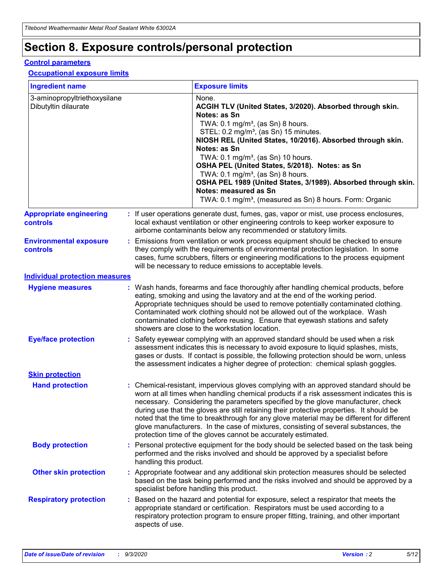# **Section 8. Exposure controls/personal protection**

#### **Control parameters**

#### **Occupational exposure limits**

| <b>Ingredient name</b>                               |    |                        | <b>Exposure limits</b>                                                                                                                                                                                                                                                                                                                                                                                                                                                                                                                                                                                                 |
|------------------------------------------------------|----|------------------------|------------------------------------------------------------------------------------------------------------------------------------------------------------------------------------------------------------------------------------------------------------------------------------------------------------------------------------------------------------------------------------------------------------------------------------------------------------------------------------------------------------------------------------------------------------------------------------------------------------------------|
| 3-aminopropyltriethoxysilane<br>Dibutyltin dilaurate |    |                        | None.<br>ACGIH TLV (United States, 3/2020). Absorbed through skin.<br>Notes: as Sn<br>TWA: $0.1 \text{ mg/m}^3$ , (as Sn) 8 hours.<br>STEL: 0.2 mg/m <sup>3</sup> , (as Sn) 15 minutes.<br>NIOSH REL (United States, 10/2016). Absorbed through skin.<br>Notes: as Sn<br>TWA: 0.1 mg/m <sup>3</sup> , (as Sn) 10 hours.<br>OSHA PEL (United States, 5/2018). Notes: as Sn<br>TWA: $0.1 \text{ mg/m}^3$ , (as Sn) 8 hours.<br>OSHA PEL 1989 (United States, 3/1989). Absorbed through skin.<br>Notes: measured as Sn<br>TWA: 0.1 mg/m <sup>3</sup> , (measured as Sn) 8 hours. Form: Organic                            |
| <b>Appropriate engineering</b><br>controls           |    |                        | : If user operations generate dust, fumes, gas, vapor or mist, use process enclosures,<br>local exhaust ventilation or other engineering controls to keep worker exposure to<br>airborne contaminants below any recommended or statutory limits.                                                                                                                                                                                                                                                                                                                                                                       |
| <b>Environmental exposure</b><br>controls            |    |                        | Emissions from ventilation or work process equipment should be checked to ensure<br>they comply with the requirements of environmental protection legislation. In some<br>cases, fume scrubbers, filters or engineering modifications to the process equipment<br>will be necessary to reduce emissions to acceptable levels.                                                                                                                                                                                                                                                                                          |
| <b>Individual protection measures</b>                |    |                        |                                                                                                                                                                                                                                                                                                                                                                                                                                                                                                                                                                                                                        |
| <b>Hygiene measures</b>                              |    |                        | : Wash hands, forearms and face thoroughly after handling chemical products, before<br>eating, smoking and using the lavatory and at the end of the working period.<br>Appropriate techniques should be used to remove potentially contaminated clothing.<br>Contaminated work clothing should not be allowed out of the workplace. Wash<br>contaminated clothing before reusing. Ensure that eyewash stations and safety<br>showers are close to the workstation location.                                                                                                                                            |
| <b>Eye/face protection</b>                           |    |                        | : Safety eyewear complying with an approved standard should be used when a risk<br>assessment indicates this is necessary to avoid exposure to liquid splashes, mists,<br>gases or dusts. If contact is possible, the following protection should be worn, unless<br>the assessment indicates a higher degree of protection: chemical splash goggles.                                                                                                                                                                                                                                                                  |
| <b>Skin protection</b>                               |    |                        |                                                                                                                                                                                                                                                                                                                                                                                                                                                                                                                                                                                                                        |
| <b>Hand protection</b>                               |    |                        | : Chemical-resistant, impervious gloves complying with an approved standard should be<br>worn at all times when handling chemical products if a risk assessment indicates this is<br>necessary. Considering the parameters specified by the glove manufacturer, check<br>during use that the gloves are still retaining their protective properties. It should be<br>noted that the time to breakthrough for any glove material may be different for different<br>glove manufacturers. In the case of mixtures, consisting of several substances, the<br>protection time of the gloves cannot be accurately estimated. |
| <b>Body protection</b>                               |    | handling this product. | Personal protective equipment for the body should be selected based on the task being<br>performed and the risks involved and should be approved by a specialist before                                                                                                                                                                                                                                                                                                                                                                                                                                                |
| <b>Other skin protection</b>                         |    |                        | : Appropriate footwear and any additional skin protection measures should be selected<br>based on the task being performed and the risks involved and should be approved by a<br>specialist before handling this product.                                                                                                                                                                                                                                                                                                                                                                                              |
| <b>Respiratory protection</b>                        | ÷. | aspects of use.        | Based on the hazard and potential for exposure, select a respirator that meets the<br>appropriate standard or certification. Respirators must be used according to a<br>respiratory protection program to ensure proper fitting, training, and other important                                                                                                                                                                                                                                                                                                                                                         |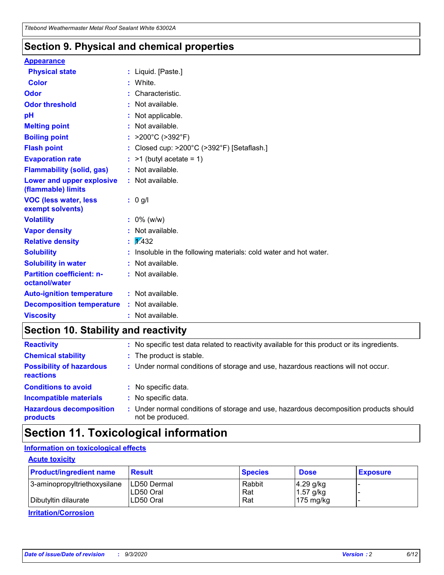### **Section 9. Physical and chemical properties**

#### **Appearance**

| <b>Physical state</b>                             |    | : Liquid. [Paste.]                                              |
|---------------------------------------------------|----|-----------------------------------------------------------------|
| <b>Color</b>                                      |    | White.                                                          |
| Odor                                              |    | Characteristic.                                                 |
| <b>Odor threshold</b>                             | ÷. | Not available.                                                  |
| pH                                                |    | Not applicable.                                                 |
| <b>Melting point</b>                              |    | : Not available.                                                |
| <b>Boiling point</b>                              |    | : $>200^{\circ}$ C ( $>392^{\circ}$ F)                          |
| <b>Flash point</b>                                |    | Closed cup: >200°C (>392°F) [Setaflash.]                        |
| <b>Evaporation rate</b>                           |    | $:$ >1 (butyl acetate = 1)                                      |
| <b>Flammability (solid, gas)</b>                  |    | : Not available.                                                |
| Lower and upper explosive<br>(flammable) limits   |    | : Not available.                                                |
| <b>VOC (less water, less)</b><br>exempt solvents) |    | : 0 g/l                                                         |
| <b>Volatility</b>                                 |    | $: 0\%$ (w/w)                                                   |
| <b>Vapor density</b>                              |    | Not available.                                                  |
| <b>Relative density</b>                           |    | $\frac{1}{2}$ 2.432                                             |
| <b>Solubility</b>                                 |    | Insoluble in the following materials: cold water and hot water. |
| <b>Solubility in water</b>                        |    | Not available.                                                  |
| <b>Partition coefficient: n-</b><br>octanol/water |    | $:$ Not available.                                              |
| <b>Auto-ignition temperature</b>                  |    | : Not available.                                                |
| <b>Decomposition temperature</b>                  |    | : Not available.                                                |
| <b>Viscosity</b>                                  |    | : Not available.                                                |

### **Section 10. Stability and reactivity**

| <b>Reactivity</b>                            |    | : No specific test data related to reactivity available for this product or its ingredients.            |
|----------------------------------------------|----|---------------------------------------------------------------------------------------------------------|
| <b>Chemical stability</b>                    |    | : The product is stable.                                                                                |
| <b>Possibility of hazardous</b><br>reactions |    | : Under normal conditions of storage and use, hazardous reactions will not occur.                       |
| <b>Conditions to avoid</b>                   |    | : No specific data.                                                                                     |
| <b>Incompatible materials</b>                | ٠. | No specific data.                                                                                       |
| <b>Hazardous decomposition</b><br>products   | ÷. | Under normal conditions of storage and use, hazardous decomposition products should<br>not be produced. |

### **Section 11. Toxicological information**

### **Information on toxicological effects**

#### **Acute toxicity**

| <b>Product/ingredient name</b> | <b>Result</b>           | <b>Species</b> | <b>Dose</b>                | <b>Exposure</b> |
|--------------------------------|-------------------------|----------------|----------------------------|-----------------|
| 3-aminopropyltriethoxysilane   | <b>ILD50 Dermal</b>     | Rabbit         | 4.29 g/kg                  |                 |
| Dibutyltin dilaurate           | ILD50 Oral<br>LD50 Oral | Rat<br>Rat     | $1.57$ g/kg<br>175 $mg/kg$ |                 |
|                                |                         |                |                            |                 |

**Irritation/Corrosion**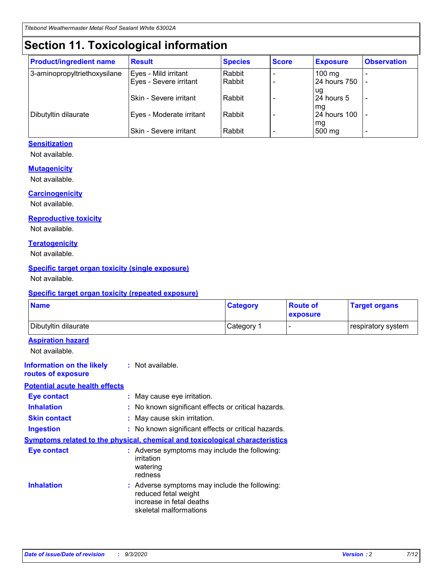# **Section 11. Toxicological information**

| <b>Product/ingredient name</b> | <b>Result</b>                 | <b>Species</b> | <b>Score</b> | <b>Exposure</b>    | <b>Observation</b> |
|--------------------------------|-------------------------------|----------------|--------------|--------------------|--------------------|
| 3-aminopropyltriethoxysilane   | Eyes - Mild irritant          | Rabbit         |              | $100 \text{ mg}$   |                    |
|                                | Eyes - Severe irritant        | Rabbit         |              | 24 hours 750       |                    |
|                                |                               |                |              | ug                 |                    |
|                                | <b>Skin - Severe irritant</b> | Rabbit         |              | 24 hours 5         | -                  |
| Dibutyltin dilaurate           | Eyes - Moderate irritant      | Rabbit         |              | mq<br>24 hours 100 |                    |
|                                |                               |                |              | mg                 |                    |
|                                | Skin - Severe irritant        | Rabbit         |              | 500 mg             |                    |

#### **Sensitization**

Not available.

#### **Mutagenicity**

Not available.

#### **Carcinogenicity**

Not available.

#### **Reproductive toxicity**

Not available.

#### **Teratogenicity**

Not available.

#### **Specific target organ toxicity (single exposure)**

Not available.

#### **Specific target organ toxicity (repeated exposure)**

| <b>Name</b>                                                                         |                                                                            | <b>Category</b>                                     | <b>Route of</b><br>exposure | <b>Target organs</b> |  |
|-------------------------------------------------------------------------------------|----------------------------------------------------------------------------|-----------------------------------------------------|-----------------------------|----------------------|--|
| Dibutyltin dilaurate                                                                |                                                                            | Category 1                                          | -                           | respiratory system   |  |
| <b>Aspiration hazard</b><br>Not available.                                          |                                                                            |                                                     |                             |                      |  |
| <b>Information on the likely</b><br>routes of exposure                              | : Not available.                                                           |                                                     |                             |                      |  |
| <b>Potential acute health effects</b>                                               |                                                                            |                                                     |                             |                      |  |
| <b>Eye contact</b>                                                                  | : May cause eye irritation.                                                |                                                     |                             |                      |  |
| <b>Inhalation</b>                                                                   |                                                                            | : No known significant effects or critical hazards. |                             |                      |  |
| <b>Skin contact</b>                                                                 |                                                                            | : May cause skin irritation.                        |                             |                      |  |
| <b>Ingestion</b>                                                                    |                                                                            | : No known significant effects or critical hazards. |                             |                      |  |
| <b>Symptoms related to the physical, chemical and toxicological characteristics</b> |                                                                            |                                                     |                             |                      |  |
| <b>Eye contact</b>                                                                  | irritation<br>watering<br>redness                                          | : Adverse symptoms may include the following:       |                             |                      |  |
| <b>Inhalation</b>                                                                   | reduced fetal weight<br>increase in fetal deaths<br>skeletal malformations | : Adverse symptoms may include the following:       |                             |                      |  |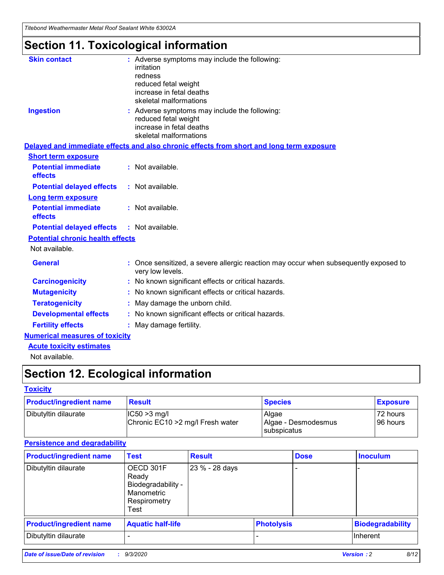*Titebond Weathermaster Metal Roof Sealant White 63002A*

# **Section 11. Toxicological information**

| <b>Skin contact</b>                     | : Adverse symptoms may include the following:<br>irritation                                            |
|-----------------------------------------|--------------------------------------------------------------------------------------------------------|
|                                         | redness                                                                                                |
|                                         | reduced fetal weight                                                                                   |
|                                         | increase in fetal deaths                                                                               |
|                                         | skeletal malformations                                                                                 |
| <b>Ingestion</b>                        | : Adverse symptoms may include the following:<br>reduced fetal weight                                  |
|                                         | increase in fetal deaths                                                                               |
|                                         | skeletal malformations                                                                                 |
|                                         | Delayed and immediate effects and also chronic effects from short and long term exposure               |
| <b>Short term exposure</b>              |                                                                                                        |
| <b>Potential immediate</b><br>effects   | : Not available.                                                                                       |
| <b>Potential delayed effects</b>        | : Not available.                                                                                       |
| <b>Long term exposure</b>               |                                                                                                        |
| <b>Potential immediate</b><br>effects   | : Not available.                                                                                       |
| <b>Potential delayed effects</b>        | : Not available.                                                                                       |
| <b>Potential chronic health effects</b> |                                                                                                        |
| Not available.                          |                                                                                                        |
| <b>General</b>                          | Once sensitized, a severe allergic reaction may occur when subsequently exposed to<br>very low levels. |
| <b>Carcinogenicity</b>                  | No known significant effects or critical hazards.                                                      |
| <b>Mutagenicity</b>                     | : No known significant effects or critical hazards.                                                    |
| <b>Teratogenicity</b>                   | May damage the unborn child.                                                                           |
| <b>Developmental effects</b>            | : No known significant effects or critical hazards.                                                    |
| <b>Fertility effects</b>                | : May damage fertility.                                                                                |
| <b>Numerical measures of toxicity</b>   |                                                                                                        |
| <b>Acute toxicity estimates</b>         |                                                                                                        |
| Not ovoilable                           |                                                                                                        |

Not available.

# **Section 12. Ecological information**

#### **Toxicity**

| <b>Product/ingredient name</b> | <b>Result</b>                                       | <b>Species</b>               | <b>Exposure</b>       |
|--------------------------------|-----------------------------------------------------|------------------------------|-----------------------|
| Dibutyltin dilaurate           | $ CC50>3$ mg/l<br>Chronic EC10 > 2 mg/l Fresh water | Algae<br>Algae - Desmodesmus | 72 hours<br>196 hours |
|                                |                                                     | <b>I</b> subspicatus         |                       |

#### **Persistence and degradability**

| <b>Product/ingredient name</b> | <b>Test</b>                                                                    | <b>Result</b>  |                   | <b>Dose</b> | <b>Inoculum</b>         |
|--------------------------------|--------------------------------------------------------------------------------|----------------|-------------------|-------------|-------------------------|
| Dibutyltin dilaurate           | OECD 301F<br>Ready<br>Biodegradability -<br>Manometric<br>Respirometry<br>Test | 23 % - 28 days |                   |             |                         |
| <b>Product/ingredient name</b> | <b>Aquatic half-life</b>                                                       |                | <b>Photolysis</b> |             | <b>Biodegradability</b> |
| Dibutyltin dilaurate           |                                                                                |                |                   |             | <b>Inherent</b>         |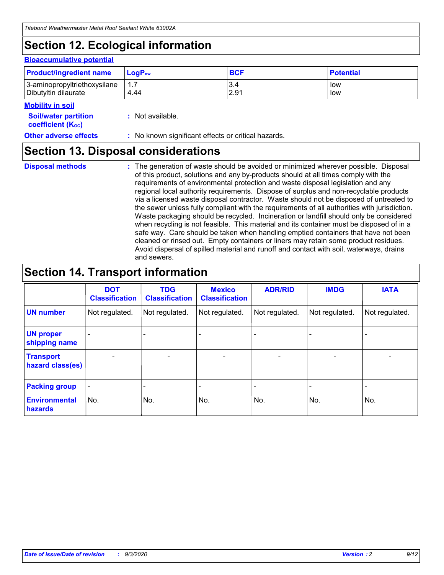# **Section 12. Ecological information**

#### **Bioaccumulative potential**

| <b>Product/ingredient name</b> | $\mathsf{LogP}_\mathsf{ow}$ | <b>BCF</b> | <b>Potential</b> |
|--------------------------------|-----------------------------|------------|------------------|
| 3-aminopropyltriethoxysilane   | $1.\overline{7}$            | 3.4        | low              |
| Dibutyltin dilaurate           | 4.44                        | 2.91       | low              |

#### **Mobility in soil**

| . <b>.</b>                  |                  |  |
|-----------------------------|------------------|--|
| <b>Soil/water partition</b> | : Not available. |  |
| <b>coefficient (Koc)</b>    |                  |  |
|                             |                  |  |

#### **Other adverse effects** : No known significant effects or critical hazards.

### **Section 13. Disposal considerations**

**Disposal methods :**

The generation of waste should be avoided or minimized wherever possible. Disposal of this product, solutions and any by-products should at all times comply with the requirements of environmental protection and waste disposal legislation and any regional local authority requirements. Dispose of surplus and non-recyclable products via a licensed waste disposal contractor. Waste should not be disposed of untreated to the sewer unless fully compliant with the requirements of all authorities with jurisdiction. Waste packaging should be recycled. Incineration or landfill should only be considered when recycling is not feasible. This material and its container must be disposed of in a safe way. Care should be taken when handling emptied containers that have not been cleaned or rinsed out. Empty containers or liners may retain some product residues. Avoid dispersal of spilled material and runoff and contact with soil, waterways, drains and sewers.

### **Section 14. Transport information**

|                                      | <b>DOT</b><br><b>Classification</b> | <b>TDG</b><br><b>Classification</b> | <b>Mexico</b><br><b>Classification</b> | <b>ADR/RID</b>           | <b>IMDG</b>              | <b>IATA</b>    |
|--------------------------------------|-------------------------------------|-------------------------------------|----------------------------------------|--------------------------|--------------------------|----------------|
| <b>UN number</b>                     | Not regulated.                      | Not regulated.                      | Not regulated.                         | Not regulated.           | Not regulated.           | Not regulated. |
| <b>UN proper</b><br>shipping name    |                                     |                                     |                                        |                          |                          |                |
| <b>Transport</b><br>hazard class(es) |                                     | $\overline{\phantom{0}}$            | $\qquad \qquad \blacksquare$           | $\overline{\phantom{0}}$ | $\overline{\phantom{0}}$ |                |
| <b>Packing group</b>                 |                                     |                                     |                                        |                          |                          |                |
| <b>Environmental</b><br>hazards      | No.                                 | No.                                 | No.                                    | No.                      | No.                      | No.            |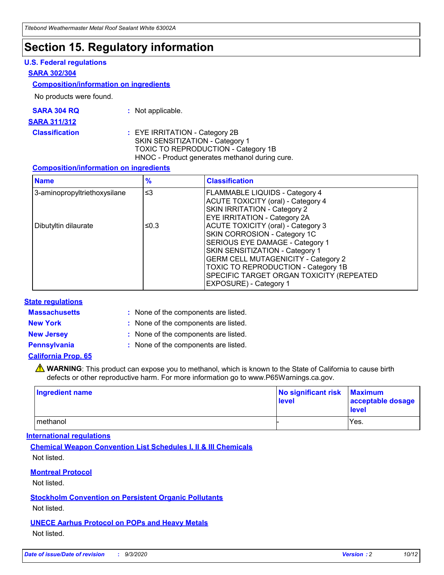### **Section 15. Regulatory information**

#### **U.S. Federal regulations**

#### **SARA 302/304**

#### **Composition/information on ingredients**

No products were found.

| SARA 304 RQ | Not applicable. |
|-------------|-----------------|
|-------------|-----------------|

#### **SARA 311/312**

**Classification :** EYE IRRITATION - Category 2B SKIN SENSITIZATION - Category 1 TOXIC TO REPRODUCTION - Category 1B HNOC - Product generates methanol during cure.

#### **Composition/information on ingredients**

| <b>Name</b>                  | $\frac{9}{6}$ | <b>Classification</b>                                                                                                                                                                                                                                                                                      |
|------------------------------|---------------|------------------------------------------------------------------------------------------------------------------------------------------------------------------------------------------------------------------------------------------------------------------------------------------------------------|
| 3-aminopropyltriethoxysilane | $\leq$ 3      | <b>FLAMMABLE LIQUIDS - Category 4</b><br><b>ACUTE TOXICITY (oral) - Category 4</b><br><b>SKIN IRRITATION - Category 2</b><br>EYE IRRITATION - Category 2A                                                                                                                                                  |
| Dibutyltin dilaurate         | ≤0.3          | <b>ACUTE TOXICITY (oral) - Category 3</b><br>SKIN CORROSION - Category 1C<br>SERIOUS EYE DAMAGE - Category 1<br>SKIN SENSITIZATION - Category 1<br><b>GERM CELL MUTAGENICITY - Category 2</b><br>TOXIC TO REPRODUCTION - Category 1B<br>SPECIFIC TARGET ORGAN TOXICITY (REPEATED<br>EXPOSURE) - Category 1 |

#### **State regulations**

**Massachusetts :**

: None of the components are listed.

**New York :** None of the components are listed. **New Jersey :** None of the components are listed.

**Pennsylvania :** None of the components are listed.

#### **California Prop. 65**

WARNING: This product can expose you to methanol, which is known to the State of California to cause birth defects or other reproductive harm. For more information go to www.P65Warnings.ca.gov.

| Ingredient name | No significant risk Maximum<br>level | acceptable dosage<br><b>level</b> |
|-----------------|--------------------------------------|-----------------------------------|
| I methanol      |                                      | Yes.                              |

#### **International regulations**

**Chemical Weapon Convention List Schedules I, II & III Chemicals** Not listed.

#### **Montreal Protocol**

Not listed.

**Stockholm Convention on Persistent Organic Pollutants**

Not listed.

#### **UNECE Aarhus Protocol on POPs and Heavy Metals** Not listed.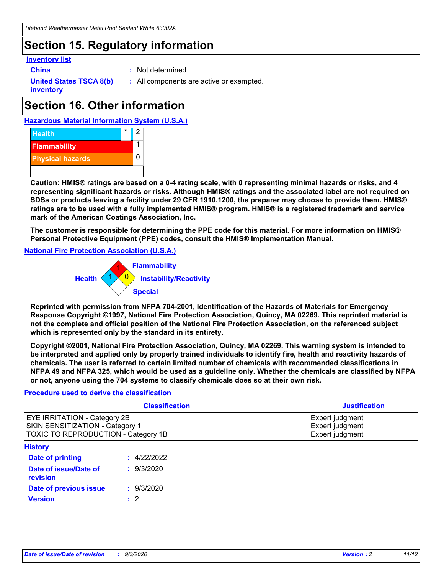### **Section 15. Regulatory information**

#### **Inventory list**

- 
- **China :** Not determined.

**United States TSCA 8(b) inventory**

**:** All components are active or exempted.

# **Section 16. Other information**





**Caution: HMIS® ratings are based on a 0-4 rating scale, with 0 representing minimal hazards or risks, and 4 representing significant hazards or risks. Although HMIS® ratings and the associated label are not required on SDSs or products leaving a facility under 29 CFR 1910.1200, the preparer may choose to provide them. HMIS® ratings are to be used with a fully implemented HMIS® program. HMIS® is a registered trademark and service mark of the American Coatings Association, Inc.**

**The customer is responsible for determining the PPE code for this material. For more information on HMIS® Personal Protective Equipment (PPE) codes, consult the HMIS® Implementation Manual.**

**National Fire Protection Association (U.S.A.)**



**Reprinted with permission from NFPA 704-2001, Identification of the Hazards of Materials for Emergency Response Copyright ©1997, National Fire Protection Association, Quincy, MA 02269. This reprinted material is not the complete and official position of the National Fire Protection Association, on the referenced subject which is represented only by the standard in its entirety.**

**Copyright ©2001, National Fire Protection Association, Quincy, MA 02269. This warning system is intended to be interpreted and applied only by properly trained individuals to identify fire, health and reactivity hazards of chemicals. The user is referred to certain limited number of chemicals with recommended classifications in NFPA 49 and NFPA 325, which would be used as a guideline only. Whether the chemicals are classified by NFPA or not, anyone using the 704 systems to classify chemicals does so at their own risk.**

#### **Procedure used to derive the classification**

| <b>Classification</b>                                                                                                | <b>Justification</b>                                  |
|----------------------------------------------------------------------------------------------------------------------|-------------------------------------------------------|
| <b>EYE IRRITATION - Category 2B</b><br><b>SKIN SENSITIZATION - Category 1</b><br>TOXIC TO REPRODUCTION - Category 1B | Expert judgment<br>Expert judgment<br>Expert judgment |
| <b>History</b>                                                                                                       |                                                       |

| .                                 |             |
|-----------------------------------|-------------|
| <b>Date of printing</b>           | : 4/22/2022 |
| Date of issue/Date of<br>revision | : 9/3/2020  |
| Date of previous issue            | : 9/3/2020  |
| <b>Version</b>                    | $\cdot$ 2   |
|                                   |             |